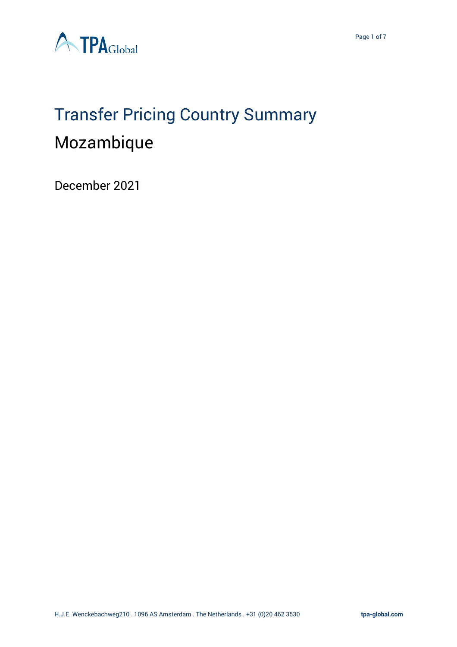

# Transfer Pricing Country Summary Mozambique

December 2021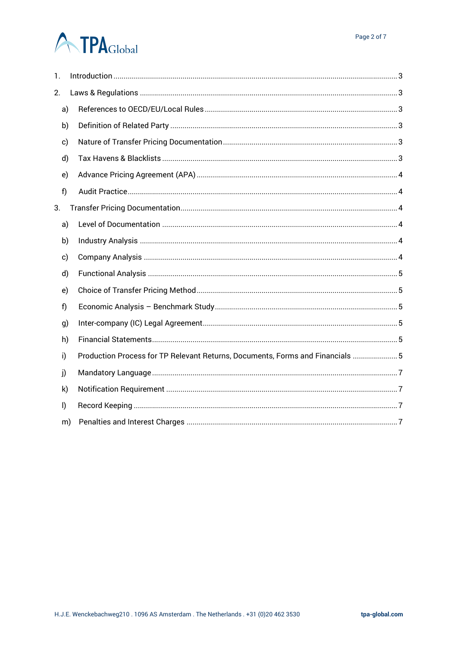Page 2 of 7

# **A TPA**Global

| 1.           |    |                                                                                |  |
|--------------|----|--------------------------------------------------------------------------------|--|
| 2.           |    |                                                                                |  |
|              | a) |                                                                                |  |
|              | b) |                                                                                |  |
| c)           |    |                                                                                |  |
|              | d) |                                                                                |  |
| e)           |    |                                                                                |  |
| f)           |    |                                                                                |  |
| 3.           |    |                                                                                |  |
|              | a) |                                                                                |  |
|              | b) |                                                                                |  |
| c)           |    |                                                                                |  |
|              | d) |                                                                                |  |
| e)           |    |                                                                                |  |
| f)           |    |                                                                                |  |
| g)           |    |                                                                                |  |
|              | h) |                                                                                |  |
| i)           |    | Production Process for TP Relevant Returns, Documents, Forms and Financials  5 |  |
| j)           |    |                                                                                |  |
| k)           |    |                                                                                |  |
| $\mathsf{I}$ |    |                                                                                |  |
|              | m) |                                                                                |  |
|              |    |                                                                                |  |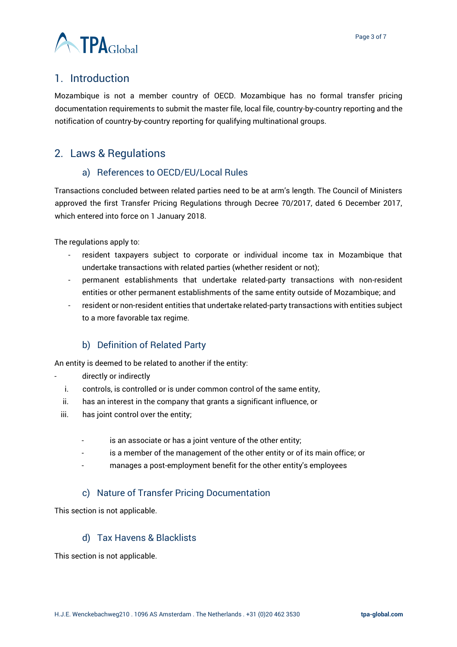

# <span id="page-2-0"></span>1. Introduction

Mozambique is not a member country of OECD. Mozambique has no formal transfer pricing documentation requirements to submit the master file, local file, country-by-country reporting and the notification of country-by-country reporting for qualifying multinational groups.

# <span id="page-2-2"></span><span id="page-2-1"></span>2. Laws & Regulations

#### a) References to OECD/EU/Local Rules

Transactions concluded between related parties need to be at arm's length. The Council of Ministers approved the first Transfer Pricing Regulations through Decree 70/2017, dated 6 December 2017, which entered into force on 1 January 2018.

The regulations apply to:

- resident taxpayers subject to corporate or individual income tax in Mozambique that undertake transactions with related parties (whether resident or not);
- permanent establishments that undertake related-party transactions with non-resident entities or other permanent establishments of the same entity outside of Mozambique; and
- resident or non-resident entities that undertake related-party transactions with entities subject to a more favorable tax regime.

# b) Definition of Related Party

<span id="page-2-3"></span>An entity is deemed to be related to another if the entity:

- directly or indirectly
	- i. controls, is controlled or is under common control of the same entity,
	- ii. has an interest in the company that grants a significant influence, or
- iii. has joint control over the entity;
	- is an associate or has a joint venture of the other entity;
	- is a member of the management of the other entity or of its main office; or
	- manages a post-employment benefit for the other entity's employees

#### c) Nature of Transfer Pricing Documentation

<span id="page-2-4"></span>This section is not applicable.

#### d) Tax Havens & Blacklists

<span id="page-2-5"></span>This section is not applicable.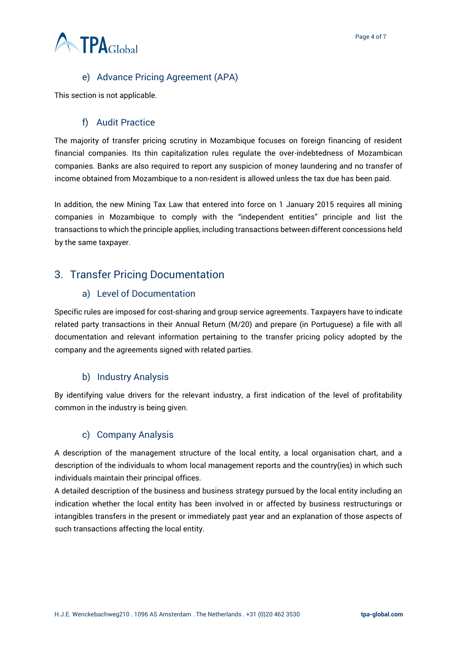

# e) Advance Pricing Agreement (APA)

<span id="page-3-0"></span>This section is not applicable.

#### f) Audit Practice

<span id="page-3-1"></span>The majority of transfer pricing scrutiny in Mozambique focuses on foreign financing of resident financial companies. Its thin capitalization rules regulate the over-indebtedness of Mozambican companies. Banks are also required to report any suspicion of money laundering and no transfer of income obtained from Mozambique to a non-resident is allowed unless the tax due has been paid.

In addition, the new Mining Tax Law that entered into force on 1 January 2015 requires all mining companies in Mozambique to comply with the "independent entities" principle and list the transactions to which the principle applies, including transactions between different concessions held by the same taxpayer.

# <span id="page-3-3"></span><span id="page-3-2"></span>3. Transfer Pricing Documentation

#### a) Level of Documentation

Specific rules are imposed for cost-sharing and group service agreements. Taxpayers have to indicate related party transactions in their Annual Return (M/20) and prepare (in Portuguese) a file with all documentation and relevant information pertaining to the transfer pricing policy adopted by the company and the agreements signed with related parties.

# b) Industry Analysis

<span id="page-3-4"></span>By identifying value drivers for the relevant industry, a first indication of the level of profitability common in the industry is being given.

#### c) Company Analysis

<span id="page-3-5"></span>A description of the management structure of the local entity, a local organisation chart, and a description of the individuals to whom local management reports and the country(ies) in which such individuals maintain their principal offices.

A detailed description of the business and business strategy pursued by the local entity including an indication whether the local entity has been involved in or affected by business restructurings or intangibles transfers in the present or immediately past year and an explanation of those aspects of such transactions affecting the local entity.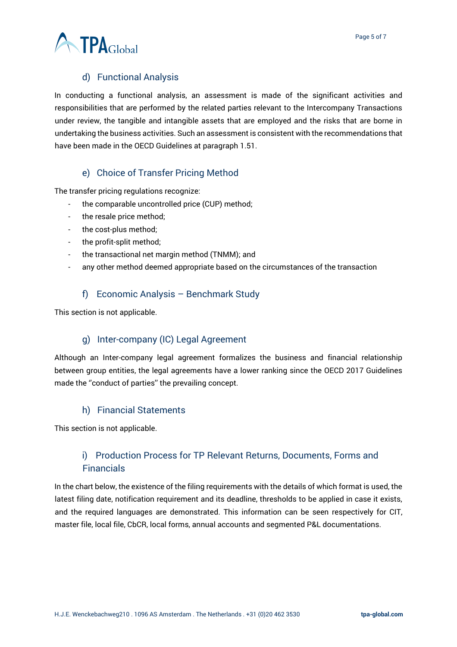

# d) Functional Analysis

<span id="page-4-0"></span>In conducting a functional analysis, an assessment is made of the significant activities and responsibilities that are performed by the related parties relevant to the Intercompany Transactions under review, the tangible and intangible assets that are employed and the risks that are borne in undertaking the business activities. Such an assessment is consistent with the recommendations that have been made in the OECD Guidelines at paragraph 1.51.

#### e) Choice of Transfer Pricing Method

<span id="page-4-1"></span>The transfer pricing regulations recognize:

- the comparable uncontrolled price (CUP) method;
- the resale price method;
- the cost-plus method;
- the profit-split method;
- the transactional net margin method (TNMM); and
- any other method deemed appropriate based on the circumstances of the transaction

#### f) Economic Analysis – Benchmark Study

<span id="page-4-2"></span>This section is not applicable.

#### g) Inter-company (IC) Legal Agreement

<span id="page-4-3"></span>Although an Inter-company legal agreement formalizes the business and financial relationship between group entities, the legal agreements have a lower ranking since the OECD 2017 Guidelines made the ''conduct of parties'' the prevailing concept.

#### h) Financial Statements

<span id="page-4-5"></span><span id="page-4-4"></span>This section is not applicable.

# i) Production Process for TP Relevant Returns, Documents, Forms and Financials

In the chart below, the existence of the filing requirements with the details of which format is used, the latest filing date, notification requirement and its deadline, thresholds to be applied in case it exists, and the required languages are demonstrated. This information can be seen respectively for CIT, master file, local file, CbCR, local forms, annual accounts and segmented P&L documentations.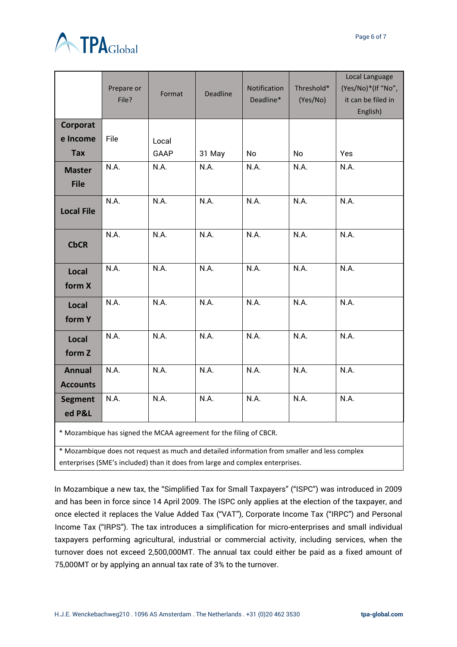

|                                                                    | Prepare or<br>File? | Format | Deadline | Notification<br>Deadline* | Threshold*<br>(Yes/No) | Local Language<br>(Yes/No)*(If "No",<br>it can be filed in<br>English) |  |  |  |
|--------------------------------------------------------------------|---------------------|--------|----------|---------------------------|------------------------|------------------------------------------------------------------------|--|--|--|
| Corporat                                                           |                     |        |          |                           |                        |                                                                        |  |  |  |
| e Income                                                           | File                | Local  |          |                           |                        |                                                                        |  |  |  |
| <b>Tax</b>                                                         |                     | GAAP   | 31 May   | No                        | No                     | Yes                                                                    |  |  |  |
| <b>Master</b><br><b>File</b>                                       | N.A.                | N.A.   | N.A.     | N.A.                      | N.A.                   | N.A.                                                                   |  |  |  |
| <b>Local File</b>                                                  | N.A.                | N.A.   | N.A.     | N.A.                      | N.A.                   | N.A.                                                                   |  |  |  |
| <b>CbCR</b>                                                        | N.A.                | N.A.   | N.A.     | N.A.                      | N.A.                   | N.A.                                                                   |  |  |  |
| Local<br>form X                                                    | N.A.                | N.A.   | N.A.     | N.A.                      | N.A.                   | N.A.                                                                   |  |  |  |
| Local<br>form Y                                                    | N.A.                | N.A.   | N.A.     | N.A.                      | N.A.                   | N.A.                                                                   |  |  |  |
| Local<br>form Z                                                    | N.A.                | N.A.   | N.A.     | N.A.                      | N.A.                   | N.A.                                                                   |  |  |  |
| <b>Annual</b><br><b>Accounts</b>                                   | N.A.                | N.A.   | N.A.     | N.A.                      | N.A.                   | N.A.                                                                   |  |  |  |
| <b>Segment</b><br>ed P&L                                           | N.A.                | N.A.   | N.A.     | N.A.                      | N.A.                   | N.A.                                                                   |  |  |  |
| * Mozambique has signed the MCAA agreement for the filing of CBCR. |                     |        |          |                           |                        |                                                                        |  |  |  |

\* Mozambique does not request as much and detailed information from smaller and less complex enterprises (SME's included) than it does from large and complex enterprises.

In Mozambique a new tax, the "Simplified Tax for Small Taxpayers" ("ISPC") was introduced in 2009 and has been in force since 14 April 2009. The ISPC only applies at the election of the taxpayer, and once elected it replaces the Value Added Tax ("VAT"), Corporate Income Tax ("IRPC") and Personal Income Tax ("IRPS"). The tax introduces a simplification for micro-enterprises and small individual taxpayers performing agricultural, industrial or commercial activity, including services, when the turnover does not exceed 2,500,000MT. The annual tax could either be paid as a fixed amount of 75,000MT or by applying an annual tax rate of 3% to the turnover.